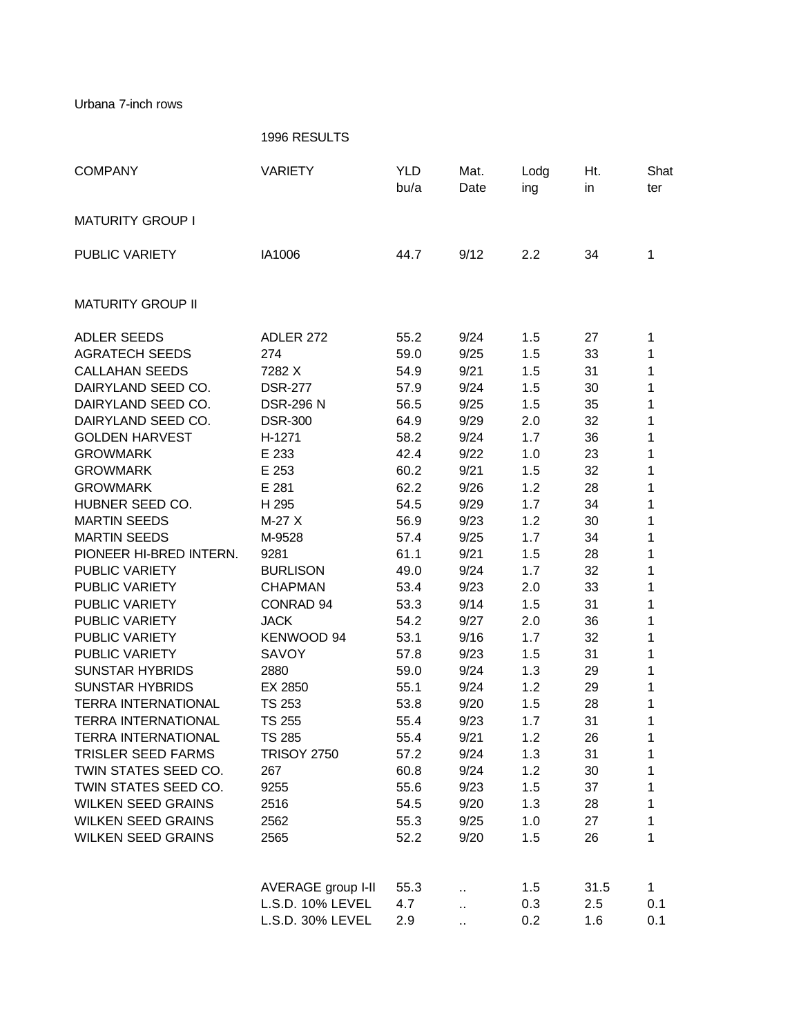Urbana 7-inch rows

|                            | 1996 RESULTS       |                    |              |             |           |              |
|----------------------------|--------------------|--------------------|--------------|-------------|-----------|--------------|
| <b>COMPANY</b>             | <b>VARIETY</b>     | <b>YLD</b><br>bu/a | Mat.<br>Date | Lodg<br>ing | Ht.<br>in | Shat<br>ter  |
| <b>MATURITY GROUP I</b>    |                    |                    |              |             |           |              |
| PUBLIC VARIETY             | IA1006             | 44.7               | 9/12         | 2.2         | 34        | 1            |
| <b>MATURITY GROUP II</b>   |                    |                    |              |             |           |              |
| <b>ADLER SEEDS</b>         | ADLER 272          | 55.2               | 9/24         | 1.5         | 27        | 1            |
| <b>AGRATECH SEEDS</b>      | 274                | 59.0               | 9/25         | 1.5         | 33        | 1            |
| <b>CALLAHAN SEEDS</b>      | 7282 X             | 54.9               | 9/21         | 1.5         | 31        | 1            |
| DAIRYLAND SEED CO.         | <b>DSR-277</b>     | 57.9               | 9/24         | 1.5         | 30        | 1            |
| DAIRYLAND SEED CO.         | <b>DSR-296 N</b>   | 56.5               | 9/25         | 1.5         | 35        | 1            |
| DAIRYLAND SEED CO.         | <b>DSR-300</b>     | 64.9               | 9/29         | 2.0         | 32        | 1            |
| <b>GOLDEN HARVEST</b>      | H-1271             | 58.2               | 9/24         | 1.7         | 36        | 1            |
| <b>GROWMARK</b>            | E 233              | 42.4               | 9/22         | 1.0         | 23        | 1            |
| <b>GROWMARK</b>            | E 253              | 60.2               | 9/21         | 1.5         | 32        | 1            |
| <b>GROWMARK</b>            | E 281              | 62.2               | 9/26         | 1.2         | 28        | 1            |
| HUBNER SEED CO.            | H 295              | 54.5               | 9/29         | 1.7         | 34        | 1            |
| <b>MARTIN SEEDS</b>        | $M-27X$            | 56.9               | 9/23         | 1.2         | 30        | 1            |
| <b>MARTIN SEEDS</b>        | M-9528             | 57.4               | 9/25         | 1.7         | 34        | 1            |
| PIONEER HI-BRED INTERN.    | 9281               | 61.1               | 9/21         | 1.5         | 28        | 1            |
| PUBLIC VARIETY             | <b>BURLISON</b>    | 49.0               | 9/24         | 1.7         | 32        | 1            |
| PUBLIC VARIETY             | <b>CHAPMAN</b>     | 53.4               | 9/23         | 2.0         | 33        | 1            |
| PUBLIC VARIETY             | CONRAD 94          | 53.3               | 9/14         | 1.5         | 31        | 1            |
| PUBLIC VARIETY             | <b>JACK</b>        | 54.2               | 9/27         | 2.0         | 36        | 1            |
| PUBLIC VARIETY             | KENWOOD 94         | 53.1               | 9/16         | 1.7         | 32        | 1            |
| <b>PUBLIC VARIETY</b>      | <b>SAVOY</b>       | 57.8               | 9/23         | 1.5         | 31        | 1            |
| <b>SUNSTAR HYBRIDS</b>     | 2880               | 59.0               | 9/24         | 1.3         | 29        | 1            |
| <b>SUNSTAR HYBRIDS</b>     | EX 2850            | 55.1               | 9/24         | 1.2         | 29        | 1            |
| <b>TERRA INTERNATIONAL</b> | <b>TS 253</b>      | 53.8               | 9/20         | 1.5         | 28        | 1            |
| <b>TERRA INTERNATIONAL</b> | TS 255             | 55.4               | 9/23         | 1.7         | 31        | 1            |
| <b>TERRA INTERNATIONAL</b> | <b>TS 285</b>      | 55.4               | 9/21         | 1.2         | 26        | 1            |
| <b>TRISLER SEED FARMS</b>  | <b>TRISOY 2750</b> | 57.2               | 9/24         | 1.3         | 31        | 1            |
| TWIN STATES SEED CO.       | 267                | 60.8               | 9/24         | 1.2         | 30        | 1            |
| TWIN STATES SEED CO.       | 9255               | 55.6               | 9/23         | 1.5         | 37        | 1            |
| <b>WILKEN SEED GRAINS</b>  | 2516               | 54.5               | 9/20         | 1.3         | 28        | 1            |
| <b>WILKEN SEED GRAINS</b>  | 2562               | 55.3               | 9/25         | 1.0         | 27        | 1            |
| <b>WILKEN SEED GRAINS</b>  | 2565               | 52.2               | 9/20         | 1.5         | 26        | 1            |
|                            | AVERAGE group I-II | 55.3               |              | 1.5         | 31.5      | $\mathbf{1}$ |
|                            | L.S.D. 10% LEVEL   | 4.7                | ò.           | 0.3         | 2.5       | 0.1          |
|                            | L.S.D. 30% LEVEL   | 2.9                | ä.           | 0.2         | 1.6       | 0.1          |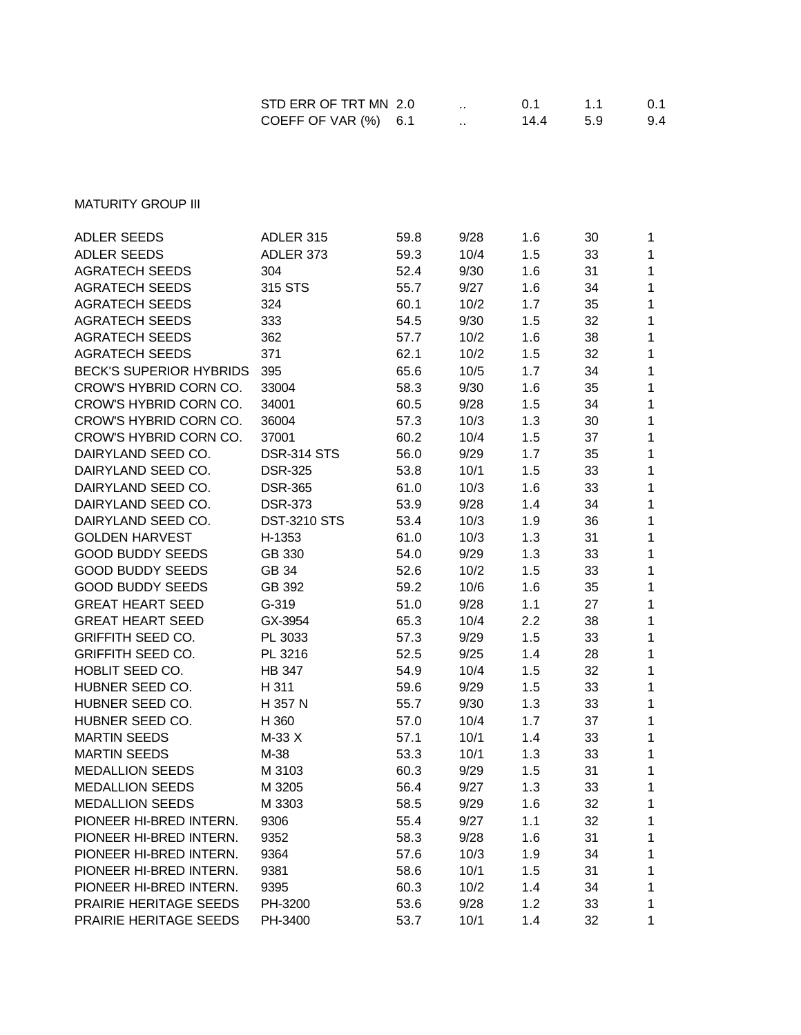| STD ERR OF TRT MN 2.0 |  | O 1  | 11  | 0.1 |
|-----------------------|--|------|-----|-----|
| COEFF OF VAR (%) 6.1  |  | 14.4 | 5.9 | 9.4 |

**MATURITY GROUP III** 

| <b>ADLER SEEDS</b>             | ADLER 315           | 59.8 | 9/28 | 1.6 | 30 | $\mathbf{1}$ |
|--------------------------------|---------------------|------|------|-----|----|--------------|
| <b>ADLER SEEDS</b>             | ADLER 373           | 59.3 | 10/4 | 1.5 | 33 | $\mathbf{1}$ |
| <b>AGRATECH SEEDS</b>          | 304                 | 52.4 | 9/30 | 1.6 | 31 | 1            |
| <b>AGRATECH SEEDS</b>          | 315 STS             | 55.7 | 9/27 | 1.6 | 34 | 1            |
| <b>AGRATECH SEEDS</b>          | 324                 | 60.1 | 10/2 | 1.7 | 35 | 1            |
| <b>AGRATECH SEEDS</b>          | 333                 | 54.5 | 9/30 | 1.5 | 32 | 1            |
| <b>AGRATECH SEEDS</b>          | 362                 | 57.7 | 10/2 | 1.6 | 38 | $\mathbf 1$  |
| <b>AGRATECH SEEDS</b>          | 371                 | 62.1 | 10/2 | 1.5 | 32 | $\mathbf 1$  |
| <b>BECK'S SUPERIOR HYBRIDS</b> | 395                 | 65.6 | 10/5 | 1.7 | 34 | $\mathbf{1}$ |
| CROW'S HYBRID CORN CO.         | 33004               | 58.3 | 9/30 | 1.6 | 35 | $\mathbf 1$  |
| CROW'S HYBRID CORN CO.         | 34001               | 60.5 | 9/28 | 1.5 | 34 | 1            |
| CROW'S HYBRID CORN CO.         | 36004               | 57.3 | 10/3 | 1.3 | 30 | 1            |
| CROW'S HYBRID CORN CO.         | 37001               | 60.2 | 10/4 | 1.5 | 37 | 1            |
| DAIRYLAND SEED CO.             | <b>DSR-314 STS</b>  | 56.0 | 9/29 | 1.7 | 35 | 1            |
| DAIRYLAND SEED CO.             | <b>DSR-325</b>      | 53.8 | 10/1 | 1.5 | 33 | 1            |
| DAIRYLAND SEED CO.             | <b>DSR-365</b>      | 61.0 | 10/3 | 1.6 | 33 | $\mathbf 1$  |
| DAIRYLAND SEED CO.             | <b>DSR-373</b>      | 53.9 | 9/28 | 1.4 | 34 | $\mathbf 1$  |
| DAIRYLAND SEED CO.             | <b>DST-3210 STS</b> | 53.4 | 10/3 | 1.9 | 36 | $\mathbf 1$  |
| <b>GOLDEN HARVEST</b>          | H-1353              | 61.0 | 10/3 | 1.3 | 31 | 1            |
| <b>GOOD BUDDY SEEDS</b>        | GB 330              | 54.0 | 9/29 | 1.3 | 33 | 1            |
| <b>GOOD BUDDY SEEDS</b>        | GB 34               | 52.6 | 10/2 | 1.5 | 33 | $\mathbf 1$  |
| <b>GOOD BUDDY SEEDS</b>        | GB 392              | 59.2 | 10/6 | 1.6 | 35 | 1            |
| <b>GREAT HEART SEED</b>        | $G-319$             | 51.0 | 9/28 | 1.1 | 27 | 1            |
| <b>GREAT HEART SEED</b>        | GX-3954             | 65.3 | 10/4 | 2.2 | 38 | $\mathbf 1$  |
| <b>GRIFFITH SEED CO.</b>       | PL 3033             | 57.3 | 9/29 | 1.5 | 33 | $\mathbf{1}$ |
| <b>GRIFFITH SEED CO.</b>       | PL 3216             | 52.5 | 9/25 | 1.4 | 28 | $\mathbf 1$  |
| HOBLIT SEED CO.                | <b>HB 347</b>       | 54.9 | 10/4 | 1.5 | 32 | 1            |
| HUBNER SEED CO.                | H 311               | 59.6 | 9/29 | 1.5 | 33 | $\mathbf 1$  |
| HUBNER SEED CO.                | H 357 N             | 55.7 | 9/30 | 1.3 | 33 | 1            |
| HUBNER SEED CO.                | H 360               | 57.0 | 10/4 | 1.7 | 37 | 1            |
| <b>MARTIN SEEDS</b>            | M-33 X              | 57.1 | 10/1 | 1.4 | 33 | $\mathbf 1$  |
| <b>MARTIN SEEDS</b>            | M-38                | 53.3 | 10/1 | 1.3 | 33 | $\mathbf{1}$ |
| <b>MEDALLION SEEDS</b>         | M 3103              | 60.3 | 9/29 | 1.5 | 31 | $\mathbf{1}$ |
| <b>MEDALLION SEEDS</b>         | M 3205              | 56.4 | 9/27 | 1.3 | 33 | 1            |
| <b>MEDALLION SEEDS</b>         | M 3303              | 58.5 | 9/29 | 1.6 | 32 | 1            |
| PIONEER HI-BRED INTERN.        | 9306                | 55.4 | 9/27 | 1.1 | 32 | 1            |
| PIONEER HI-BRED INTERN.        | 9352                | 58.3 | 9/28 | 1.6 | 31 | 1            |
| PIONEER HI-BRED INTERN.        | 9364                | 57.6 | 10/3 | 1.9 | 34 | 1            |
| PIONEER HI-BRED INTERN.        | 9381                | 58.6 | 10/1 | 1.5 | 31 | 1            |
| PIONEER HI-BRED INTERN.        | 9395                | 60.3 | 10/2 | 1.4 | 34 | $\mathbf 1$  |
| PRAIRIE HERITAGE SEEDS         | PH-3200             | 53.6 | 9/28 | 1.2 | 33 | 1            |
| PRAIRIE HERITAGE SEEDS         | PH-3400             | 53.7 | 10/1 | 1.4 | 32 | $\mathbf 1$  |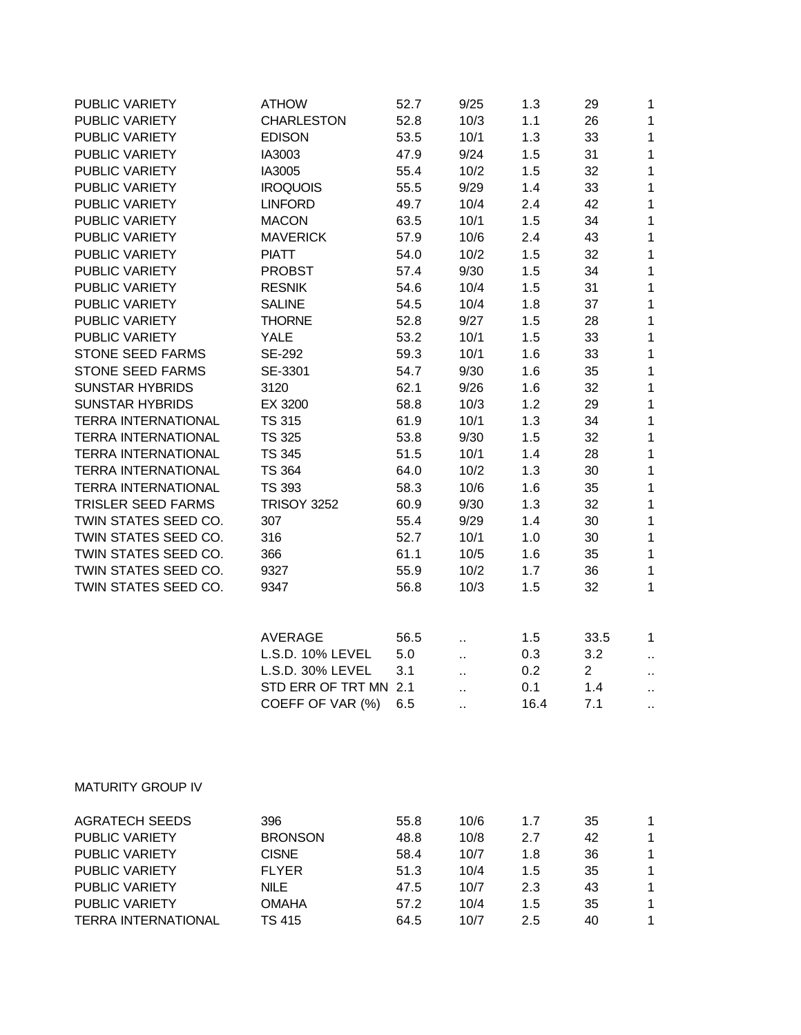| PUBLIC VARIETY             | <b>ATHOW</b>          | 52.7 | 9/25 | 1.3  | 29             | 1  |
|----------------------------|-----------------------|------|------|------|----------------|----|
| PUBLIC VARIETY             | <b>CHARLESTON</b>     | 52.8 | 10/3 | 1.1  | 26             | 1  |
| <b>PUBLIC VARIETY</b>      | <b>EDISON</b>         | 53.5 | 10/1 | 1.3  | 33             | 1  |
| PUBLIC VARIETY             | IA3003                | 47.9 | 9/24 | 1.5  | 31             | 1  |
| PUBLIC VARIETY             | IA3005                | 55.4 | 10/2 | 1.5  | 32             | 1  |
| PUBLIC VARIETY             | <b>IROQUOIS</b>       | 55.5 | 9/29 | 1.4  | 33             | 1  |
| PUBLIC VARIETY             | <b>LINFORD</b>        | 49.7 | 10/4 | 2.4  | 42             | 1  |
| PUBLIC VARIETY             | <b>MACON</b>          | 63.5 | 10/1 | 1.5  | 34             | 1  |
| PUBLIC VARIETY             | <b>MAVERICK</b>       | 57.9 | 10/6 | 2.4  | 43             | 1  |
| PUBLIC VARIETY             | <b>PIATT</b>          | 54.0 | 10/2 | 1.5  | 32             | 1  |
| PUBLIC VARIETY             | <b>PROBST</b>         | 57.4 | 9/30 | 1.5  | 34             | 1  |
| PUBLIC VARIETY             | <b>RESNIK</b>         | 54.6 | 10/4 | 1.5  | 31             | 1  |
| <b>PUBLIC VARIETY</b>      | <b>SALINE</b>         | 54.5 | 10/4 | 1.8  | 37             | 1  |
| PUBLIC VARIETY             | <b>THORNE</b>         | 52.8 | 9/27 | 1.5  | 28             | 1  |
| PUBLIC VARIETY             | <b>YALE</b>           | 53.2 | 10/1 | 1.5  | 33             | 1  |
| <b>STONE SEED FARMS</b>    | SE-292                | 59.3 | 10/1 | 1.6  | 33             | 1  |
| <b>STONE SEED FARMS</b>    | SE-3301               | 54.7 | 9/30 | 1.6  | 35             | 1  |
| <b>SUNSTAR HYBRIDS</b>     | 3120                  | 62.1 | 9/26 | 1.6  | 32             | 1  |
| <b>SUNSTAR HYBRIDS</b>     | EX 3200               | 58.8 | 10/3 | 1.2  | 29             | 1  |
| <b>TERRA INTERNATIONAL</b> | <b>TS 315</b>         | 61.9 | 10/1 | 1.3  | 34             | 1  |
| <b>TERRA INTERNATIONAL</b> | <b>TS 325</b>         | 53.8 | 9/30 | 1.5  | 32             | 1  |
| <b>TERRA INTERNATIONAL</b> | <b>TS 345</b>         | 51.5 | 10/1 | 1.4  | 28             | 1  |
| <b>TERRA INTERNATIONAL</b> | <b>TS 364</b>         | 64.0 | 10/2 | 1.3  | 30             | 1  |
| <b>TERRA INTERNATIONAL</b> | <b>TS 393</b>         | 58.3 | 10/6 | 1.6  | 35             | 1  |
| <b>TRISLER SEED FARMS</b>  | <b>TRISOY 3252</b>    | 60.9 | 9/30 | 1.3  | 32             | 1  |
| TWIN STATES SEED CO.       | 307                   | 55.4 | 9/29 | 1.4  | 30             | 1  |
| TWIN STATES SEED CO.       | 316                   | 52.7 | 10/1 | 1.0  | 30             | 1  |
| TWIN STATES SEED CO.       | 366                   | 61.1 | 10/5 | 1.6  | 35             | 1  |
| TWIN STATES SEED CO.       | 9327                  | 55.9 | 10/2 | 1.7  | 36             | 1  |
| TWIN STATES SEED CO.       | 9347                  | 56.8 | 10/3 | 1.5  | 32             | 1  |
|                            |                       |      |      |      |                |    |
|                            | <b>AVERAGE</b>        | 56.5 |      | 1.5  | 33.5           | 1  |
|                            | L.S.D. 10% LEVEL      | 5.0  | . .  | 0.3  | 3.2            | ٠. |
|                            | L.S.D. 30% LEVEL      | 3.1  | ٠.   | 0.2  | $\overline{2}$ | ٠. |
|                            | STD ERR OF TRT MN 2.1 |      |      | 0.1  | 1.4            |    |
|                            | COEFF OF VAR (%)      | 6.5  |      | 16.4 | 7.1            |    |
|                            |                       |      |      |      |                |    |
| <b>MATURITY GROUP IV</b>   |                       |      |      |      |                |    |
| <b>AGRATECH SEEDS</b>      | 396                   | 55.8 | 10/6 | 1.7  | 35             | 1  |
| PUBLIC VARIETY             | <b>BRONSON</b>        | 48.8 | 10/8 | 2.7  | 42             | 1  |
| PUBLIC VARIETY             | <b>CISNE</b>          | 58.4 | 10/7 | 1.8  | 36             | 1  |
| PUBLIC VARIETY             | <b>FLYER</b>          | 51.3 | 10/4 | 1.5  | 35             | 1  |
| PUBLIC VARIETY             | <b>NILE</b>           | 47.5 | 10/7 | 2.3  | 43             | 1  |

PUBLIC VARIETY OMAHA 57.2 10/4 1.5 35 1 TERRA INTERNATIONAL TS 415 64.5 10/7 2.5 40 1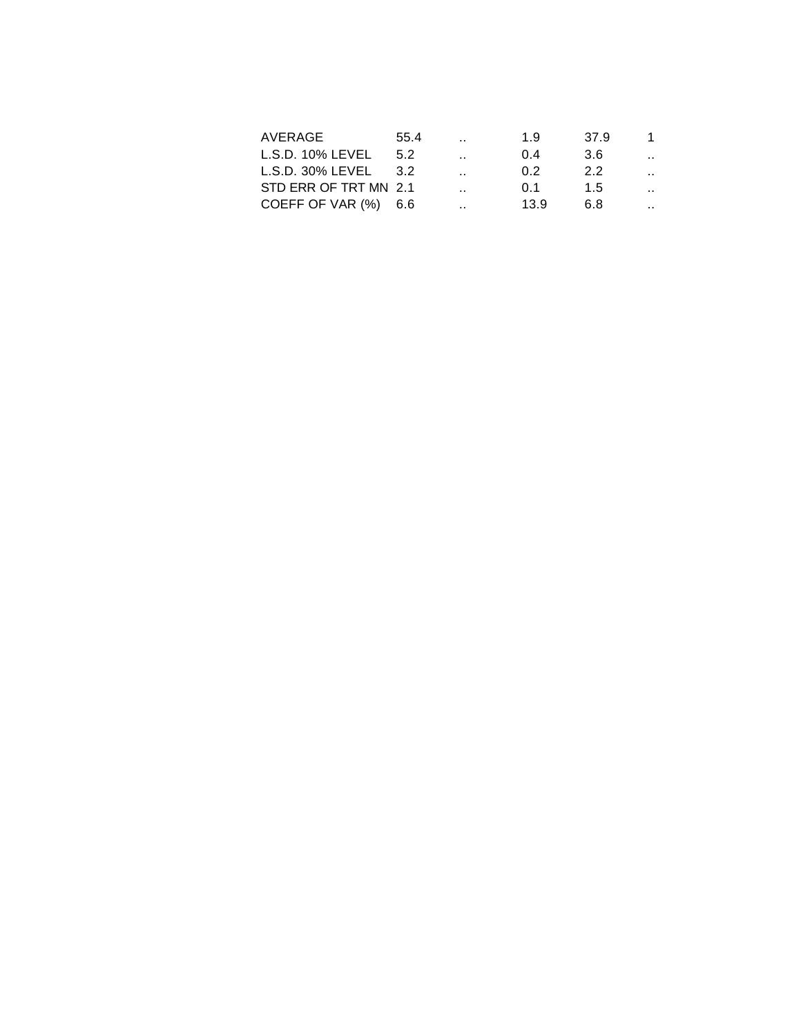| 55.4                  | $\sim$ $\sim$        | 1.9  | 37.9 | 1.                   |
|-----------------------|----------------------|------|------|----------------------|
| 5.2                   | $\ddot{\phantom{a}}$ | 0.4  | 3.6  | $\sim$               |
| -3.2                  | $\ddotsc$            | 0 2  | 2.2  | $\mathbf{r}$         |
| STD ERR OF TRT MN 2.1 | $\ddot{\phantom{a}}$ | O 1  | 15   | $\ddot{\phantom{0}}$ |
| COEFF OF VAR (%) 6.6  | . .                  | 13.9 | 68   | $\ddot{\phantom{0}}$ |
|                       |                      |      |      |                      |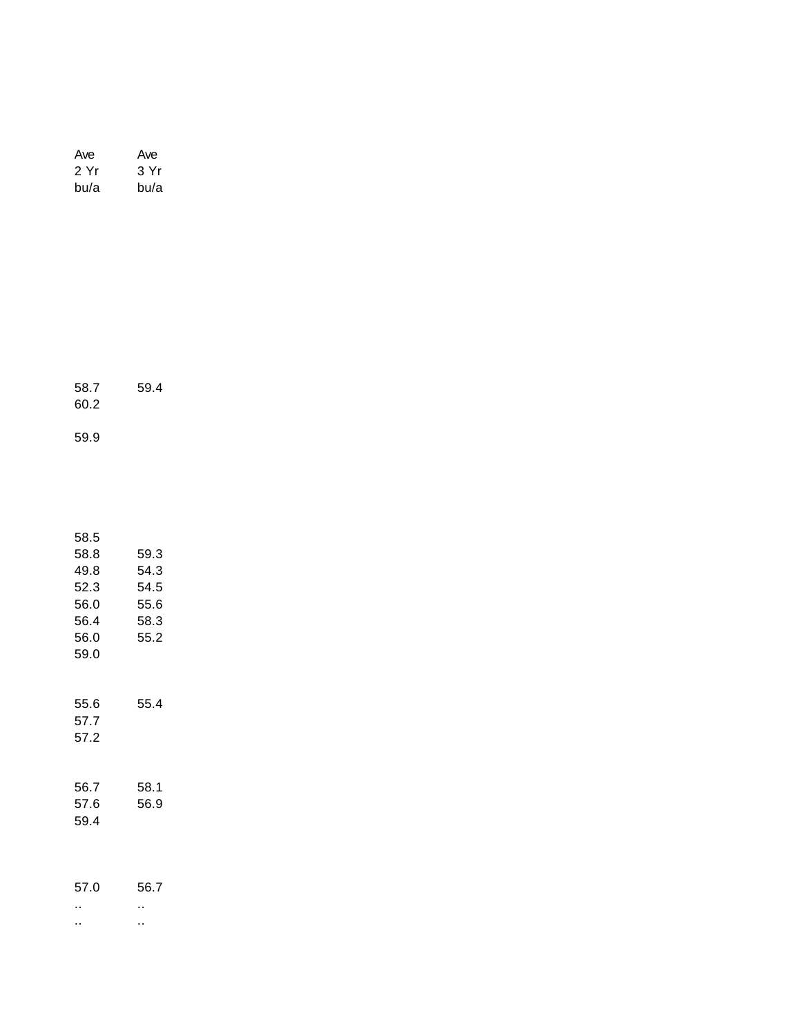| Ave  | Ave  |
|------|------|
| 2 Yr | 3 Yr |
| bu/a | bu/a |

| 58.7 | 59.4 |  |
|------|------|--|
| 60.2 |      |  |

59.9

| 58.5                 |              |
|----------------------|--------------|
| 58.8                 | 59.3         |
| 49.8                 | 54.3         |
| 52.3                 | 54.5         |
| 56.0                 | 55.6         |
| 56.4                 | 58.3         |
| 56.0                 | 55.2         |
| 59.0                 |              |
| 55.6<br>57.7<br>57.2 | 55.4         |
| 56.7<br>57.6<br>59.4 | 58.1<br>56.9 |
| 57.0                 | 56.7         |

.. .. .. ..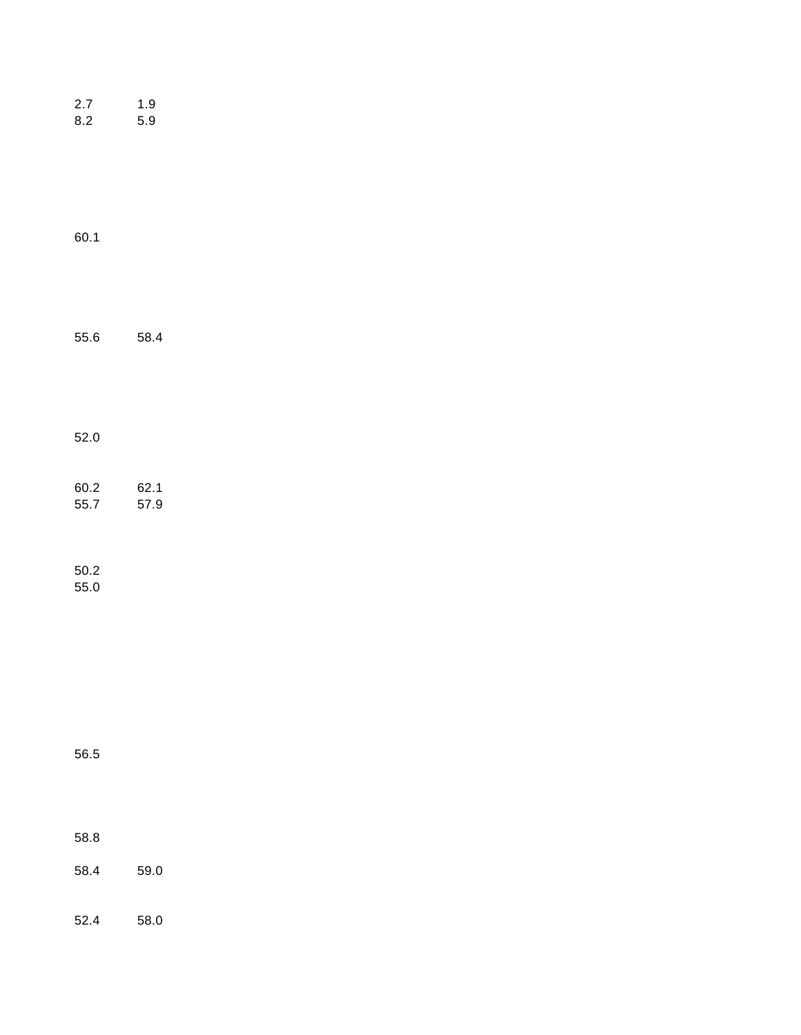| 2.7<br>8.2       | 1.9<br>5.9   |  |  |
|------------------|--------------|--|--|
| 60.1             |              |  |  |
| 55.6             | 58.4         |  |  |
| 52.0             |              |  |  |
| 60.2<br>55.7     | 62.1<br>57.9 |  |  |
| $50.2\,$<br>55.0 |              |  |  |
| 56.5             |              |  |  |
| 58.8             |              |  |  |
| 58.4             | 59.0         |  |  |
| 52.4             | 58.0         |  |  |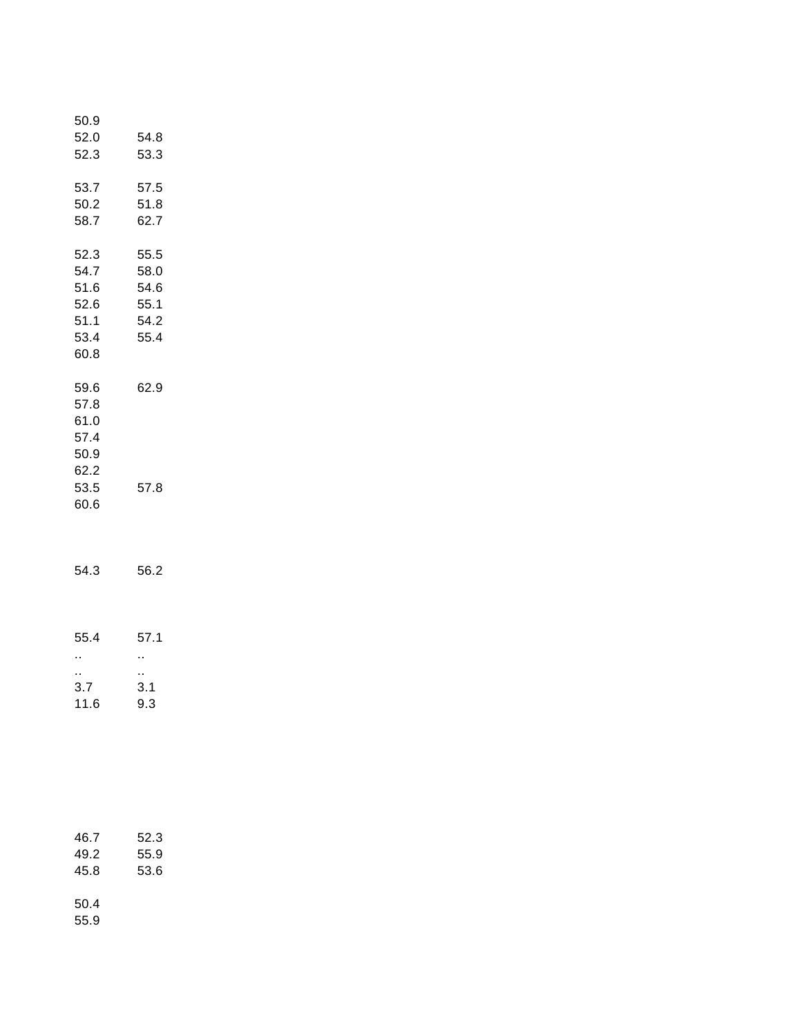| 50.9<br>52.0<br>52.3                                         | 54.8<br>53.3                                 |  |
|--------------------------------------------------------------|----------------------------------------------|--|
| 53.7<br>50.2<br>58.7                                         | 57.5<br>51.8<br>62.7                         |  |
| 52.3<br>54.7<br>51.6<br>52.6<br>51.1<br>53.4<br>60.8         | 55.5<br>58.0<br>54.6<br>55.1<br>54.2<br>55.4 |  |
| 59.6<br>57.8<br>61.0<br>57.4<br>50.9<br>62.2<br>53.5<br>60.6 | 62.9<br>57.8                                 |  |
| 54.3                                                         | 56.2                                         |  |
| 55.4<br>н,<br>н,<br>3.7<br>11.6                              | 57.1<br>Ц,<br>н,<br>3.1<br>9.3               |  |
| 46.7<br>49.2<br>45.8<br>50.4                                 | 52.3<br>55.9<br>53.6                         |  |

55.9